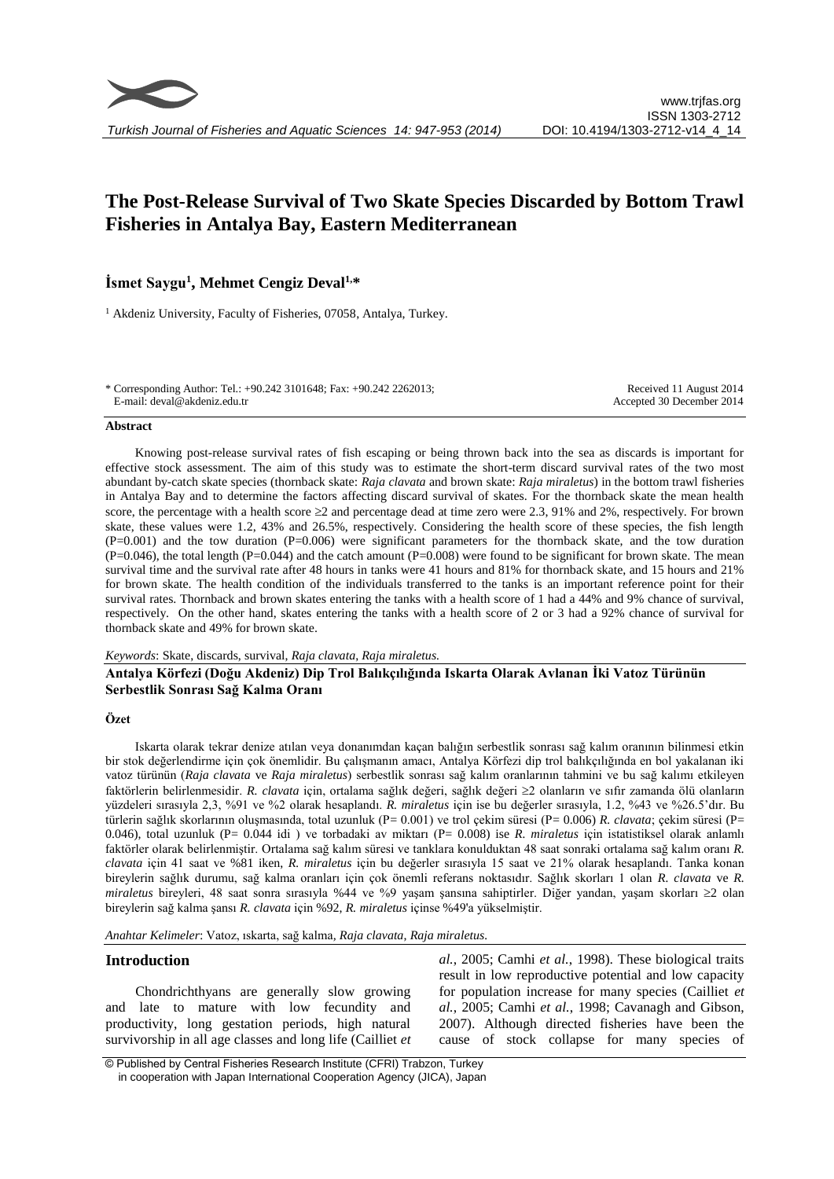# **The Post-Release Survival of Two Skate Species Discarded by Bottom Trawl Fisheries in Antalya Bay, Eastern Mediterranean**

# **İsmet Saygu<sup>1</sup> , Mehmet Cengiz Deval1,\***

<sup>1</sup> Akdeniz University, Faculty of Fisheries, 07058, Antalya, Turkey.

\* Corresponding Author: Tel.: +90.242 3101648; Fax: +90.242 2262013; E-mail: deval@akdeniz.edu.tr Received 11 August 2014 Accepted 30 December 2014

#### **Abstract**

Knowing post-release survival rates of fish escaping or being thrown back into the sea as discards is important for effective stock assessment. The aim of this study was to estimate the short-term discard survival rates of the two most abundant by-catch skate species (thornback skate: *Raja clavata* and brown skate: *Raja miraletus*) in the bottom trawl fisheries in Antalya Bay and to determine the factors affecting discard survival of skates. For the thornback skate the mean health score, the percentage with a health score  $\geq 2$  and percentage dead at time zero were 2.3, 91% and 2%, respectively. For brown skate, these values were 1.2, 43% and 26.5%, respectively. Considering the health score of these species, the fish length  $(P=0.001)$  and the tow duration  $(P=0.006)$  were significant parameters for the thornback skate, and the tow duration  $(P=0.046)$ , the total length  $(P=0.044)$  and the catch amount  $(P=0.008)$  were found to be significant for brown skate. The mean survival time and the survival rate after 48 hours in tanks were 41 hours and 81% for thornback skate, and 15 hours and 21% for brown skate. The health condition of the individuals transferred to the tanks is an important reference point for their survival rates. Thornback and brown skates entering the tanks with a health score of 1 had a 44% and 9% chance of survival, respectively. On the other hand, skates entering the tanks with a health score of 2 or 3 had a 92% chance of survival for thornback skate and 49% for brown skate.

#### *Keywords*: Skate, discards, survival, *Raja clavata*, *Raja miraletus.*

# **Antalya Körfezi (Doğu Akdeniz) Dip Trol Balıkçılığında Iskarta Olarak Avlanan İki Vatoz Türünün Serbestlik Sonrası Sağ Kalma Oranı**

#### **Özet**

Iskarta olarak tekrar denize atılan veya donanımdan kaçan balığın serbestlik sonrası sağ kalım oranının bilinmesi etkin bir stok değerlendirme için çok önemlidir. Bu çalışmanın amacı, Antalya Körfezi dip trol balıkçılığında en bol yakalanan iki vatoz türünün (*Raja clavata* ve *Raja miraletus*) serbestlik sonrası sağ kalım oranlarının tahmini ve bu sağ kalımı etkileyen faktörlerin belirlenmesidir. *R. clavata* için, ortalama sağlık değeri, sağlık değeri 2 olanların ve sıfır zamanda ölü olanların yüzdeleri sırasıyla 2,3, %91 ve %2 olarak hesaplandı. *R. miraletus* için ise bu değerler sırasıyla, 1.2, %43 ve %26.5'dır. Bu türlerin sağlık skorlarının oluşmasında, total uzunluk (P= 0.001) ve trol çekim süresi (P= 0.006) *R. clavata*; çekim süresi (P= 0.046), total uzunluk (P= 0.044 idi ) ve torbadaki av miktarı (P= 0.008) ise *R. miraletus* için istatistiksel olarak anlamlı faktörler olarak belirlenmiştir. Ortalama sağ kalım süresi ve tanklara konulduktan 48 saat sonraki ortalama sağ kalım oranı *R. clavata* için 41 saat ve %81 iken, *R. miraletus* için bu değerler sırasıyla 15 saat ve 21% olarak hesaplandı. Tanka konan bireylerin sağlık durumu, sağ kalma oranları için çok önemli referans noktasıdır. Sağlık skorları 1 olan *R. clavata* ve *R. miraletus* bireyleri, 48 saat sonra sırasıyla %44 ve %9 yaşam şansına sahiptirler. Diğer yandan, yaşam skorları ≥2 olan bireylerin sağ kalma şansı *R. clavata* için %92, *R. miraletus* içinse %49'a yükselmiştir.

*Anahtar Kelimeler*: Vatoz, ıskarta, sağ kalma*, Raja clavata*, *Raja miraletus.*

### **Introduction**

Chondrichthyans are generally slow growing and late to mature with low fecundity and productivity, long gestation periods, high natural survivorship in all age classes and long life (Cailliet *et*  *al.*, 2005; Camhi *et al.*, 1998). These biological traits result in low reproductive potential and low capacity for population increase for many species (Cailliet *et al.*, 2005; Camhi *et al.*, 1998; Cavanagh and Gibson, 2007). Although directed fisheries have been the cause of stock collapse for many species of

<sup>©</sup> Published by Central Fisheries Research Institute (CFRI) Trabzon, Turkey in cooperation with Japan International Cooperation Agency (JICA), Japan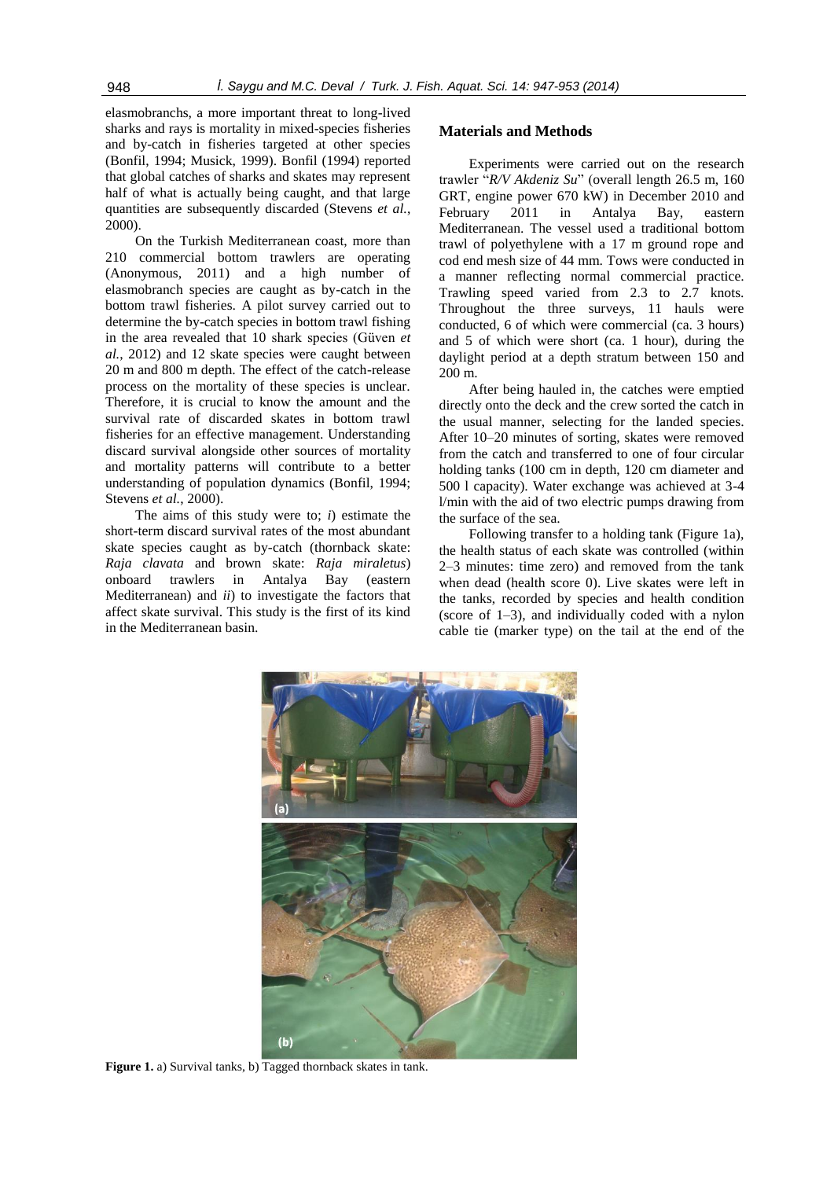elasmobranchs, a more important threat to long-lived sharks and rays is mortality in mixed-species fisheries and by-catch in fisheries targeted at other species (Bonfil, 1994; Musick, 1999). Bonfil (1994) reported that global catches of sharks and skates may represent half of what is actually being caught, and that large quantities are subsequently discarded (Stevens *et al.*, 2000).

On the Turkish Mediterranean coast, more than 210 commercial bottom trawlers are operating (Anonymous, 2011) and a high number of elasmobranch species are caught as by-catch in the bottom trawl fisheries. A pilot survey carried out to determine the by-catch species in bottom trawl fishing in the area revealed that 10 shark species (Güven *et al.*, 2012) and 12 skate species were caught between 20 m and 800 m depth. The effect of the catch-release process on the mortality of these species is unclear. Therefore, it is crucial to know the amount and the survival rate of discarded skates in bottom trawl fisheries for an effective management. Understanding discard survival alongside other sources of mortality and mortality patterns will contribute to a better understanding of population dynamics (Bonfil, 1994; Stevens *et al.*, 2000).

The aims of this study were to; *i*) estimate the short-term discard survival rates of the most abundant skate species caught as by-catch (thornback skate: *Raja clavata* and brown skate: *Raja miraletus*) onboard trawlers in Antalya Bay (eastern Mediterranean) and *ii*) to investigate the factors that affect skate survival. This study is the first of its kind in the Mediterranean basin.

## **Materials and Methods**

Experiments were carried out on the research trawler "*R/V Akdeniz Su*" (overall length 26.5 m, 160 GRT, engine power 670 kW) in December 2010 and February 2011 in Antalya Bay, eastern Mediterranean. The vessel used a traditional bottom trawl of polyethylene with a 17 m ground rope and cod end mesh size of 44 mm. Tows were conducted in a manner reflecting normal commercial practice. Trawling speed varied from 2.3 to 2.7 knots. Throughout the three surveys, 11 hauls were conducted, 6 of which were commercial (ca. 3 hours) and 5 of which were short (ca. 1 hour), during the daylight period at a depth stratum between 150 and 200 m.

After being hauled in, the catches were emptied directly onto the deck and the crew sorted the catch in the usual manner, selecting for the landed species. After 10–20 minutes of sorting, skates were removed from the catch and transferred to one of four circular holding tanks (100 cm in depth, 120 cm diameter and 500 l capacity). Water exchange was achieved at 3-4 l/min with the aid of two electric pumps drawing from the surface of the sea.

Following transfer to a holding tank (Figure 1a), the health status of each skate was controlled (within 2–3 minutes: time zero) and removed from the tank when dead (health score 0). Live skates were left in the tanks, recorded by species and health condition (score of 1–3), and individually coded with a nylon cable tie (marker type) on the tail at the end of the



**Figure 1.** a) Survival tanks, b) Tagged thornback skates in tank.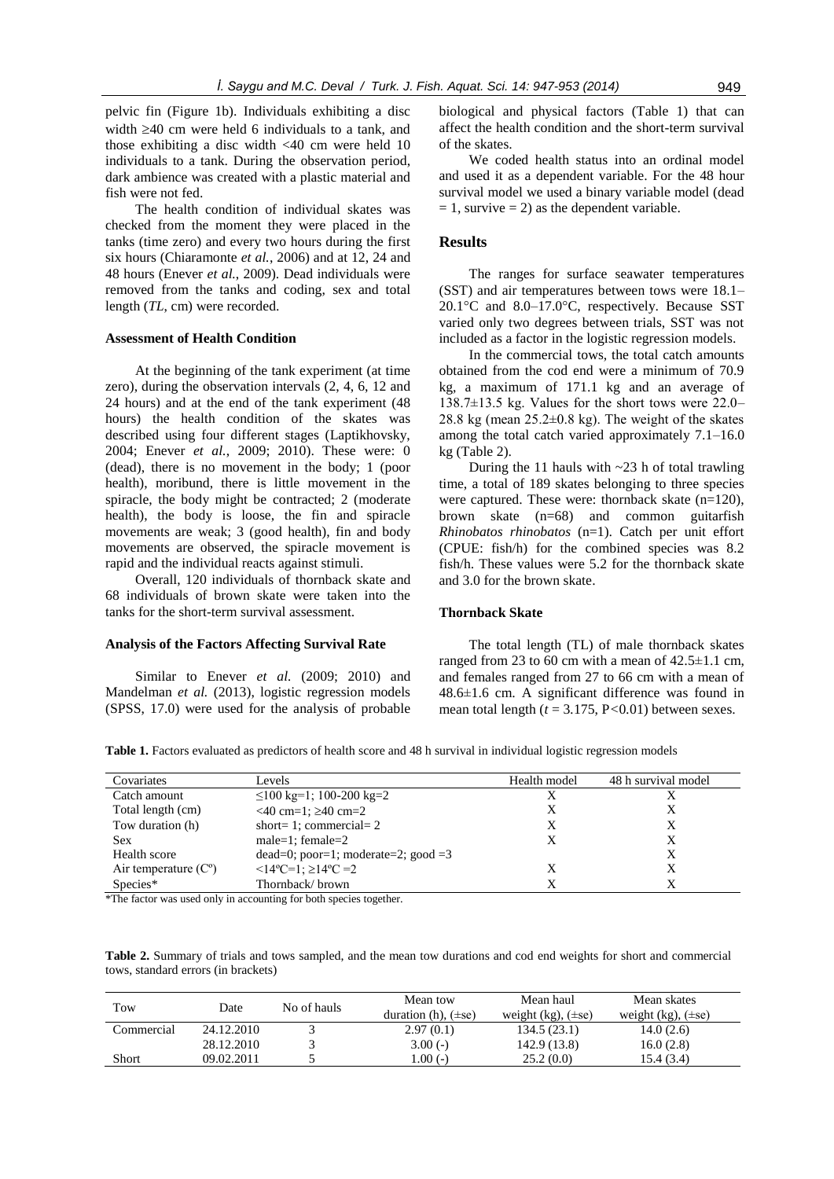pelvic fin (Figure 1b). Individuals exhibiting a disc width  $\geq$ 40 cm were held 6 individuals to a tank, and those exhibiting a disc width <40 cm were held 10 individuals to a tank. During the observation period, dark ambience was created with a plastic material and fish were not fed.

The health condition of individual skates was checked from the moment they were placed in the tanks (time zero) and every two hours during the first six hours (Chiaramonte *et al.*, 2006) and at 12, 24 and 48 hours (Enever *et al.*, 2009). Dead individuals were removed from the tanks and coding, sex and total length (*TL*, cm) were recorded.

#### **Assessment of Health Condition**

At the beginning of the tank experiment (at time zero), during the observation intervals (2, 4, 6, 12 and 24 hours) and at the end of the tank experiment (48 hours) the health condition of the skates was described using four different stages (Laptikhovsky, 2004; Enever *et al.*, 2009; 2010). These were: 0 (dead), there is no movement in the body; 1 (poor health), moribund, there is little movement in the spiracle, the body might be contracted; 2 (moderate health), the body is loose, the fin and spiracle movements are weak; 3 (good health), fin and body movements are observed, the spiracle movement is rapid and the individual reacts against stimuli.

Overall, 120 individuals of thornback skate and 68 individuals of brown skate were taken into the tanks for the short-term survival assessment.

#### **Analysis of the Factors Affecting Survival Rate**

Similar to Enever *et al.* (2009; 2010) and Mandelman *et al.* (2013), logistic regression models (SPSS, 17.0) were used for the analysis of probable

biological and physical factors (Table 1) that can affect the health condition and the short-term survival of the skates.

We coded health status into an ordinal model and used it as a dependent variable. For the 48 hour survival model we used a binary variable model (dead  $= 1$ , survive  $= 2$ ) as the dependent variable.

#### **Results**

The ranges for surface seawater temperatures (SST) and air temperatures between tows were 18.1– 20.1°C and 8.0–17.0°C, respectively. Because SST varied only two degrees between trials, SST was not included as a factor in the logistic regression models.

In the commercial tows, the total catch amounts obtained from the cod end were a minimum of 70.9 kg, a maximum of 171.1 kg and an average of 138.7±13.5 kg. Values for the short tows were 22.0– 28.8 kg (mean  $25.2\pm0.8$  kg). The weight of the skates among the total catch varied approximately 7.1–16.0 kg (Table 2).

During the 11 hauls with  $\sim$ 23 h of total trawling time, a total of 189 skates belonging to three species were captured. These were: thornback skate (n=120), brown skate (n=68) and common guitarfish *Rhinobatos rhinobatos* (n=1). Catch per unit effort (CPUE: fish/h) for the combined species was 8.2 fish/h. These values were 5.2 for the thornback skate and 3.0 for the brown skate.

#### **Thornback Skate**

The total length (TL) of male thornback skates ranged from 23 to 60 cm with a mean of 42*.*5±1.1 cm, and females ranged from 27 to 66 cm with a mean of 48.6±1.6 cm. A significant difference was found in mean total length  $(t = 3.175, P < 0.01)$  between sexes.

**Table 1.** Factors evaluated as predictors of health score and 48 h survival in individual logistic regression models

| Covariates             | Levels                                 | Health model | 48 h survival model |
|------------------------|----------------------------------------|--------------|---------------------|
| Catch amount           | $\leq$ 100 kg=1; 100-200 kg=2          | X            |                     |
| Total length (cm)      | $<$ 40 cm=1; $\geq$ 40 cm=2            | X            |                     |
| Tow duration (h)       | short= 1; commercial= $2$              | Х            |                     |
| <b>Sex</b>             | male=1; female=2                       |              | Х                   |
| Health score           | $dead=0$ ; poor=1; moderate=2; good =3 |              | Х                   |
| Air temperature $(Co)$ | $\leq$ 14°C=1; $\geq$ 14°C =2          |              |                     |
| Species*               | Thornback/brown                        |              |                     |

\*The factor was used only in accounting for both species together.

**Table 2.** Summary of trials and tows sampled, and the mean tow durations and cod end weights for short and commercial tows, standard errors (in brackets)

| Tow        | Date       | No of hauls | Mean tow<br>duration (h), $(\pm s \cdot \epsilon)$ | Mean haul<br>weight $(kg)$ , $(\pm s\epsilon)$ | Mean skates<br>weight $(kg)$ , $(\pm s\epsilon)$ |
|------------|------------|-------------|----------------------------------------------------|------------------------------------------------|--------------------------------------------------|
| Commercial | 24.12.2010 |             | 2.97(0.1)                                          | 134.5(23.1)                                    | 14.0(2.6)                                        |
|            | 28.12.2010 |             | $3.00(-)$                                          | 142.9 (13.8)                                   | 16.0(2.8)                                        |
| Short      | 09.02.2011 |             | .00(.)                                             | 25.2(0.0)                                      | 15.4 (3.4)                                       |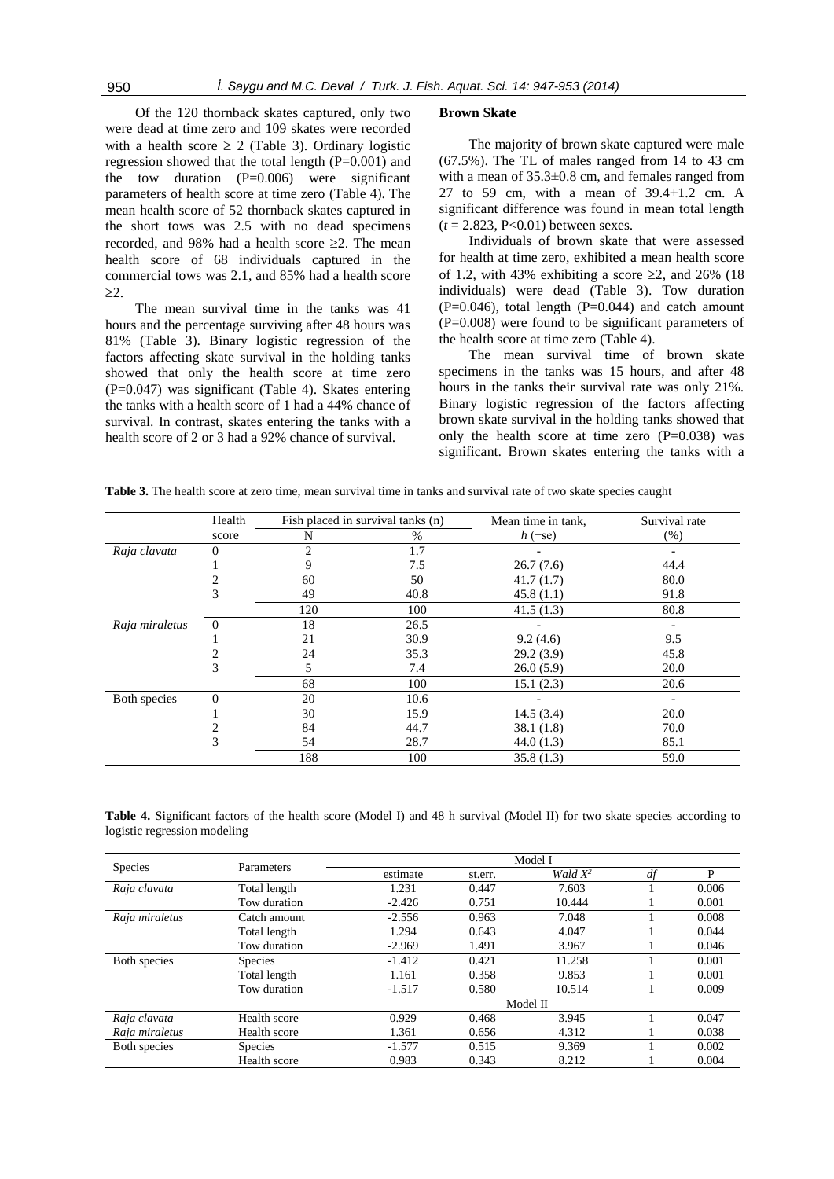Of the 120 thornback skates captured, only two were dead at time zero and 109 skates were recorded with a health score  $\geq 2$  (Table 3). Ordinary logistic regression showed that the total length  $(P=0.001)$  and the tow duration  $(P=0.006)$  were significant parameters of health score at time zero (Table 4). The mean health score of 52 thornback skates captured in the short tows was 2.5 with no dead specimens recorded, and 98% had a health score  $\geq 2$ . The mean health score of 68 individuals captured in the commercial tows was 2.1, and 85% had a health score  $>2.$ 

The mean survival time in the tanks was 41 hours and the percentage surviving after 48 hours was 81% (Table 3). Binary logistic regression of the factors affecting skate survival in the holding tanks showed that only the health score at time zero (P=0.047) was significant (Table 4). Skates entering the tanks with a health score of 1 had a 44% chance of survival. In contrast, skates entering the tanks with a health score of 2 or 3 had a 92% chance of survival.

#### **Brown Skate**

The majority of brown skate captured were male (67.5%). The TL of males ranged from 14 to 43 cm with a mean of 35.3±0.8 cm, and females ranged from 27 to 59 cm, with a mean of  $39.4 \pm 1.2$  cm. A significant difference was found in mean total length (*t* = 2*.*823, P<0*.*01) between sexes.

Individuals of brown skate that were assessed for health at time zero, exhibited a mean health score of 1.2, with 43% exhibiting a score  $\geq 2$ , and 26% (18) individuals) were dead (Table 3). Tow duration  $(P=0.046)$ , total length  $(P=0.044)$  and catch amount (P=0.008) were found to be significant parameters of the health score at time zero (Table 4).

The mean survival time of brown skate specimens in the tanks was 15 hours, and after 48 hours in the tanks their survival rate was only 21%. Binary logistic regression of the factors affecting brown skate survival in the holding tanks showed that only the health score at time zero  $(P=0.038)$  was significant. Brown skates entering the tanks with a

|  | Table 3. The health score at zero time, mean survival time in tanks and survival rate of two skate species caught |  |  |  |  |  |
|--|-------------------------------------------------------------------------------------------------------------------|--|--|--|--|--|
|  |                                                                                                                   |  |  |  |  |  |

|                | Health         | Fish placed in survival tanks (n) |      | Mean time in tank, | Survival rate |  |
|----------------|----------------|-----------------------------------|------|--------------------|---------------|--|
| score          |                | N                                 | $\%$ | $h$ ( $\pm$ se)    | (% )          |  |
| Raja clavata   | $\Omega$       | $\overline{c}$                    | 1.7  |                    |               |  |
|                |                | 9                                 | 7.5  | 26.7(7.6)          | 44.4          |  |
|                |                | 60                                | 50   | 41.7(1.7)          | 80.0          |  |
|                | 3              | 49                                | 40.8 | 45.8(1.1)          | 91.8          |  |
|                |                | 120                               | 100  | 41.5(1.3)          | 80.8          |  |
| Raja miraletus | $\Omega$       | 18                                | 26.5 |                    |               |  |
|                |                | 21                                | 30.9 | 9.2(4.6)           | 9.5           |  |
|                |                | 24                                | 35.3 | 29.2(3.9)          | 45.8          |  |
|                | 3              | 5                                 | 7.4  | 26.0(5.9)          | 20.0          |  |
|                |                | 68                                | 100  | 15.1(2.3)          | 20.6          |  |
| Both species   | $\overline{0}$ | 20                                | 10.6 |                    |               |  |
|                |                | 30                                | 15.9 | 14.5(3.4)          | 20.0          |  |
|                |                | 84                                | 44.7 | 38.1(1.8)          | 70.0          |  |
|                | 3              | 54                                | 28.7 | 44.0(1.3)          | 85.1          |  |
|                |                | 188                               | 100  | 35.8(1.3)          | 59.0          |  |

**Table 4.** Significant factors of the health score (Model I) and 48 h survival (Model II) for two skate species according to logistic regression modeling

| <b>Species</b> | Parameters     |          | Model I |            |    |       |  |  |  |
|----------------|----------------|----------|---------|------------|----|-------|--|--|--|
|                |                | estimate | st.err. | Wald $X^2$ | df | P     |  |  |  |
| Raja clavata   | Total length   | 1.231    | 0.447   | 7.603      |    | 0.006 |  |  |  |
|                | Tow duration   | $-2.426$ | 0.751   | 10.444     |    | 0.001 |  |  |  |
| Raja miraletus | Catch amount   | $-2.556$ | 0.963   | 7.048      |    | 0.008 |  |  |  |
|                | Total length   | 1.294    | 0.643   | 4.047      |    | 0.044 |  |  |  |
|                | Tow duration   | $-2.969$ | 1.491   | 3.967      |    | 0.046 |  |  |  |
| Both species   | <b>Species</b> | $-1.412$ | 0.421   | 11.258     |    | 0.001 |  |  |  |
|                | Total length   | 1.161    | 0.358   | 9.853      |    | 0.001 |  |  |  |
|                | Tow duration   | $-1.517$ | 0.580   | 10.514     |    | 0.009 |  |  |  |
|                |                | Model II |         |            |    |       |  |  |  |
| Raja clavata   | Health score   | 0.929    | 0.468   | 3.945      |    | 0.047 |  |  |  |
| Raja miraletus | Health score   | 1.361    | 0.656   | 4.312      |    | 0.038 |  |  |  |
| Both species   | <b>Species</b> | $-1.577$ | 0.515   | 9.369      |    | 0.002 |  |  |  |
|                | Health score   | 0.983    | 0.343   | 8.212      |    | 0.004 |  |  |  |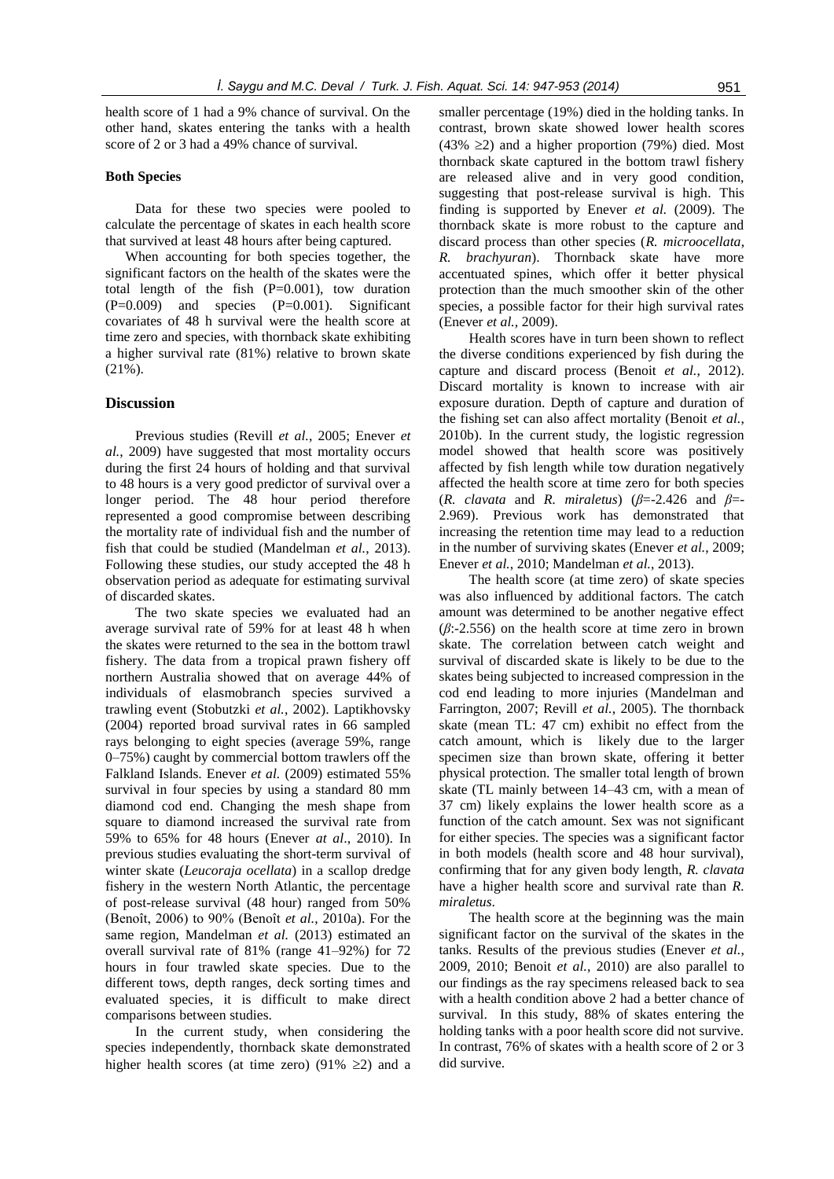health score of 1 had a 9% chance of survival. On the other hand, skates entering the tanks with a health score of 2 or 3 had a 49% chance of survival.

#### **Both Species**

Data for these two species were pooled to calculate the percentage of skates in each health score that survived at least 48 hours after being captured.

When accounting for both species together, the significant factors on the health of the skates were the total length of the fish  $(P=0.001)$ , tow duration (P=0.009) and species (P=0.001). Significant covariates of 48 h survival were the health score at time zero and species, with thornback skate exhibiting a higher survival rate (81%) relative to brown skate (21%).

#### **Discussion**

Previous studies (Revill *et al.*, 2005; Enever *et al.*, 2009) have suggested that most mortality occurs during the first 24 hours of holding and that survival to 48 hours is a very good predictor of survival over a longer period. The 48 hour period therefore represented a good compromise between describing the mortality rate of individual fish and the number of fish that could be studied (Mandelman *et al.*, 2013). Following these studies, our study accepted the 48 h observation period as adequate for estimating survival of discarded skates.

The two skate species we evaluated had an average survival rate of 59% for at least 48 h when the skates were returned to the sea in the bottom trawl fishery. The data from a tropical prawn fishery off northern Australia showed that on average 44% of individuals of elasmobranch species survived a trawling event (Stobutzki *et al.*, 2002). Laptikhovsky (2004) reported broad survival rates in 66 sampled rays belonging to eight species (average 59%, range 0–75%) caught by commercial bottom trawlers off the Falkland Islands. Enever *et al.* (2009) estimated 55% survival in four species by using a standard 80 mm diamond cod end. Changing the mesh shape from square to diamond increased the survival rate from 59% to 65% for 48 hours (Enever *at al*., 2010). In previous studies evaluating the short-term survival of winter skate (*Leucoraja ocellata*) in a scallop dredge fishery in the western North Atlantic, the percentage of post-release survival (48 hour) ranged from 50% (Benoît, 2006) to 90% (Benoît *et al.*, 2010a). For the same region, Mandelman *et al.* (2013) estimated an overall survival rate of 81% (range 41–92%) for 72 hours in four trawled skate species. Due to the different tows, depth ranges, deck sorting times and evaluated species, it is difficult to make direct comparisons between studies.

In the current study, when considering the species independently, thornback skate demonstrated higher health scores (at time zero) (91%  $\geq$ 2) and a

smaller percentage (19%) died in the holding tanks. In contrast, brown skate showed lower health scores  $(43\% \geq 2)$  and a higher proportion (79%) died. Most thornback skate captured in the bottom trawl fishery are released alive and in very good condition, suggesting that post-release survival is high. This finding is supported by Enever *et al.* (2009). The thornback skate is more robust to the capture and discard process than other species (*R. microocellata*, *R. brachyuran*). Thornback skate have more accentuated spines, which offer it better physical protection than the much smoother skin of the other species, a possible factor for their high survival rates (Enever *et al.,* 2009).

Health scores have in turn been shown to reflect the diverse conditions experienced by fish during the capture and discard process (Benoit *et al.*, 2012). Discard mortality is known to increase with air exposure duration. Depth of capture and duration of the fishing set can also affect mortality (Benoit *et al.*, 2010b). In the current study, the logistic regression model showed that health score was positively affected by fish length while tow duration negatively affected the health score at time zero for both species (*R. clavata* and *R. miraletus*) (*β*=-2.426 and *β*=- 2.969). Previous work has demonstrated that increasing the retention time may lead to a reduction in the number of surviving skates (Enever *et al.*, 2009; Enever *et al.*, 2010; Mandelman *et al.*, 2013).

The health score (at time zero) of skate species was also influenced by additional factors. The catch amount was determined to be another negative effect (*β*:-2.556) on the health score at time zero in brown skate. The correlation between catch weight and survival of discarded skate is likely to be due to the skates being subjected to increased compression in the cod end leading to more injuries (Mandelman and Farrington, 2007; Revill *et al.*, 2005). The thornback skate (mean TL: 47 cm) exhibit no effect from the catch amount, which is likely due to the larger specimen size than brown skate, offering it better physical protection. The smaller total length of brown skate (TL mainly between 14–43 cm, with a mean of 37 cm) likely explains the lower health score as a function of the catch amount. Sex was not significant for either species. The species was a significant factor in both models (health score and 48 hour survival), confirming that for any given body length, *R. clavata* have a higher health score and survival rate than *R. miraletus*.

The health score at the beginning was the main significant factor on the survival of the skates in the tanks. Results of the previous studies (Enever *et al.*, 2009, 2010; Benoit *et al.*, 2010) are also parallel to our findings as the ray specimens released back to sea with a health condition above 2 had a better chance of survival. In this study, 88% of skates entering the holding tanks with a poor health score did not survive. In contrast, 76% of skates with a health score of 2 or 3 did survive.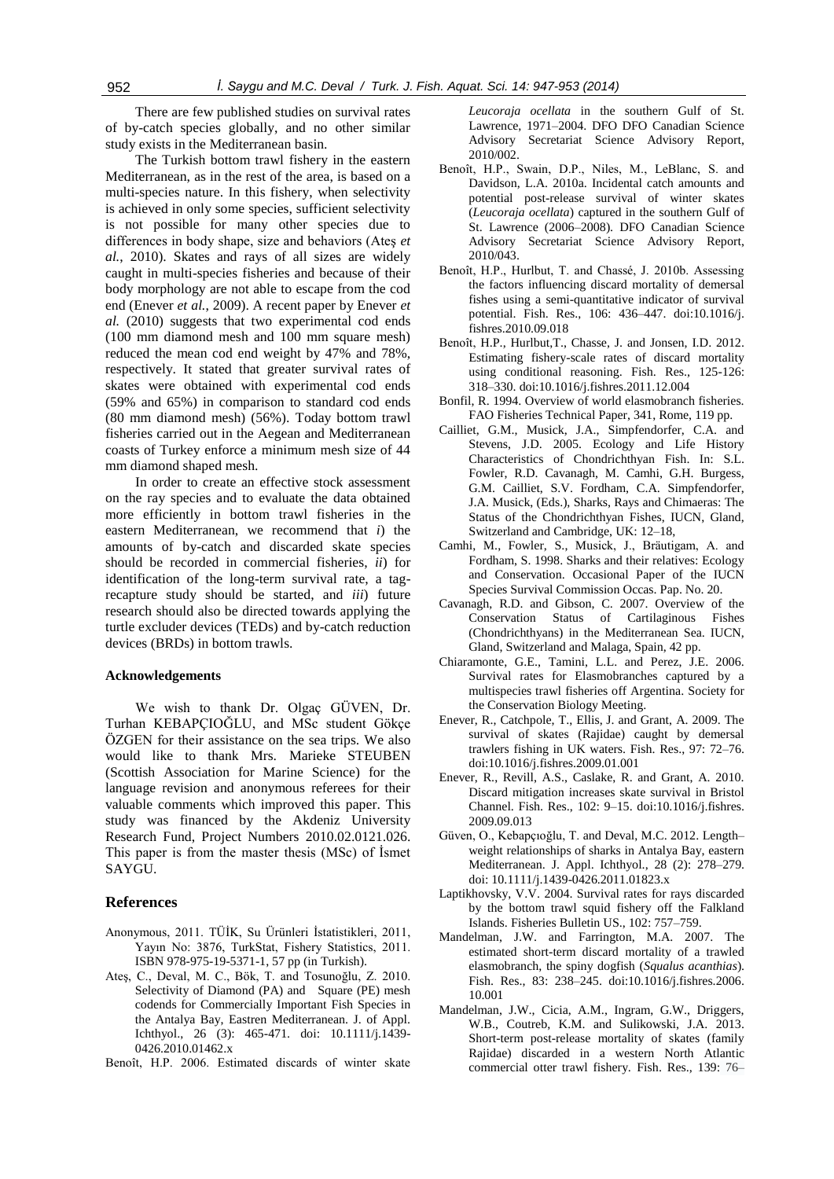There are few published studies on survival rates of by-catch species globally, and no other similar study exists in the Mediterranean basin.

The Turkish bottom trawl fishery in the eastern Mediterranean, as in the rest of the area, is based on a multi-species nature. In this fishery, when selectivity is achieved in only some species, sufficient selectivity is not possible for many other species due to differences in body shape, size and behaviors (Ateş *et al.*, 2010). Skates and rays of all sizes are widely caught in multi-species fisheries and because of their body morphology are not able to escape from the cod end (Enever *et al.*, 2009). A recent paper by Enever *et al.* (2010) suggests that two experimental cod ends (100 mm diamond mesh and 100 mm square mesh) reduced the mean cod end weight by 47% and 78%, respectively. It stated that greater survival rates of skates were obtained with experimental cod ends (59% and 65%) in comparison to standard cod ends (80 mm diamond mesh) (56%). Today bottom trawl fisheries carried out in the Aegean and Mediterranean coasts of Turkey enforce a minimum mesh size of 44 mm diamond shaped mesh.

In order to create an effective stock assessment on the ray species and to evaluate the data obtained more efficiently in bottom trawl fisheries in the eastern Mediterranean, we recommend that *i*) the amounts of by-catch and discarded skate species should be recorded in commercial fisheries, *ii*) for identification of the long-term survival rate, a tagrecapture study should be started, and *iii*) future research should also be directed towards applying the turtle excluder devices (TEDs) and by-catch reduction devices (BRDs) in bottom trawls.

#### **Acknowledgements**

We wish to thank Dr. Olgaç GÜVEN, Dr. Turhan KEBAPÇIOĞLU, and MSc student Gökçe ÖZGEN for their assistance on the sea trips. We also would like to thank Mrs. Marieke STEUBEN (Scottish Association for Marine Science) for the language revision and anonymous referees for their valuable comments which improved this paper. This study was financed by the Akdeniz University Research Fund, Project Numbers 2010.02.0121.026. This paper is from the master thesis (MSc) of İsmet SAYGU.

#### **References**

- Anonymous, 2011. TÜİK, Su Ürünleri İstatistikleri, 2011, Yayın No: 3876, TurkStat, Fishery Statistics, 2011. ISBN 978-975-19-5371-1, 57 pp (in Turkish).
- Ateş, C., Deval, M. C., Bök, T. and Tosunoğlu, Z. 2010. Selectivity of Diamond (PA) and Square (PE) mesh codends for Commercially Important Fish Species in the Antalya Bay, Eastren Mediterranean. J. of Appl. Ichthyol., 26 (3): 465-471. doi: 10.1111/j.1439- 0426.2010.01462.x
- Benoît, H.P. 2006. Estimated discards of winter skate

*Leucoraja ocellata* in the southern Gulf of St. Lawrence, 1971–2004. DFO DFO Canadian Science Advisory Secretariat Science Advisory Report, 2010/002

- Benoît, H.P., Swain, D.P., Niles, M., LeBlanc, S. and Davidson, L.A. 2010a. Incidental catch amounts and potential post-release survival of winter skates (*Leucoraja ocellata*) captured in the southern Gulf of St. Lawrence (2006–2008). DFO Canadian Science Advisory Secretariat Science Advisory Report, 2010/043.
- Benoît, H.P., Hurlbut, T. and Chassé, J. 2010b. Assessing the factors influencing discard mortality of demersal fishes using a semi-quantitative indicator of survival potential. Fish. Res., 106: 436–447. doi:10.1016/j. fishres.2010.09.018
- Benoît, H.P., Hurlbut,T., Chasse, J. and Jonsen, I.D. 2012. Estimating fishery-scale rates of discard mortality using conditional reasoning. Fish. Res., 125-126: 318–330. doi:10.1016/j.fishres.2011.12.004
- Bonfil, R. 1994. Overview of world elasmobranch fisheries. FAO Fisheries Technical Paper, 341, Rome, 119 pp.
- Cailliet, G.M., Musick, J.A., Simpfendorfer, C.A. and Stevens, J.D. 2005. Ecology and Life History Characteristics of Chondrichthyan Fish. In: S.L. Fowler, R.D. Cavanagh, M. Camhi, G.H. Burgess, G.M. Cailliet, S.V. Fordham, C.A. Simpfendorfer, J.A. Musick, (Eds.), Sharks, Rays and Chimaeras: The Status of the Chondrichthyan Fishes, IUCN, Gland, Switzerland and Cambridge, UK: 12–18,
- Camhi, M., Fowler, S., Musick, J., Bräutigam, A. and Fordham, S. 1998. Sharks and their relatives: Ecology and Conservation. Occasional Paper of the IUCN Species Survival Commission Occas. Pap. No. 20.
- Cavanagh, R.D. and Gibson, C. 2007. Overview of the Conservation Status of Cartilaginous Fishes (Chondrichthyans) in the Mediterranean Sea. IUCN, Gland, Switzerland and Malaga, Spain, 42 pp.
- Chiaramonte, G.E., Tamini, L.L. and Perez, J.E. 2006. Survival rates for Elasmobranches captured by a multispecies trawl fisheries off Argentina. Society for the Conservation Biology Meeting.
- Enever, R., Catchpole, T., Ellis, J. and Grant, A. 2009. The survival of skates (Rajidae) caught by demersal trawlers fishing in UK waters. Fish. Res., 97: 72–76. doi:10.1016/j.fishres.2009.01.001
- Enever, R., Revill, A.S., Caslake, R. and Grant, A. 2010. Discard mitigation increases skate survival in Bristol Channel. Fish. Res., 102: 9–15. doi:10.1016/j.fishres. 2009.09.013
- Güven, O., Kebapçıoğlu, T. and Deval, M.C. 2012. Length– weight relationships of sharks in Antalya Bay, eastern Mediterranean. J. Appl. Ichthyol., 28 (2): 278–279. doi: 10.1111/j.1439-0426.2011.01823.x
- Laptikhovsky, V.V. 2004. Survival rates for rays discarded by the bottom trawl squid fishery off the Falkland Islands. Fisheries Bulletin US., 102: 757–759.
- Mandelman, J.W. and Farrington, M.A. 2007. The estimated short-term discard mortality of a trawled elasmobranch, the spiny dogfish (*Squalus acanthias*). Fish. Res., 83: 238–245. doi:10.1016/j.fishres.2006. 10.001
- Mandelman, J.W., Cicia, A.M., Ingram, G.W., Driggers, W.B., Coutreb, K.M. and Sulikowski, J.A. 2013. Short-term post-release mortality of skates (family Rajidae) discarded in a western North Atlantic commercial otter trawl fishery. Fish. Res., 139: 76–